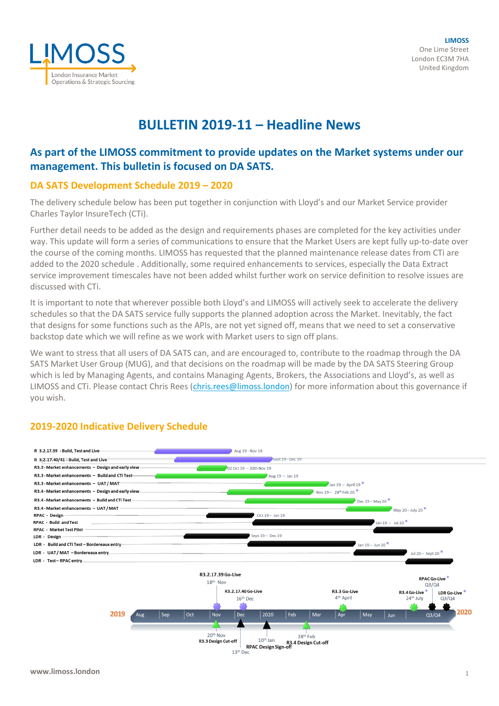

# **BULLETIN 2019-11 – Headline News**

## **As part of the LIMOSS commitment to provide updates on the Market systems under our management. This bulletin is focused on DA SATS.**

## **DA SATS Development Schedule 2019 – 2020**

The delivery schedule below has been put together in conjunction with Lloyd's and our Market Service provider Charles Taylor InsureTech (CTi).

Further detail needs to be added as the design and requirements phases are completed for the key activities under way. This update will form a series of communications to ensure that the Market Users are kept fully up-to-date over the course of the coming months. LIMOSS has requested that the planned maintenance release dates from CTi are added to the 2020 schedule . Additionally, some required enhancements to services, especially the Data Extract service improvement timescales have not been added whilst further work on service definition to resolve issues are discussed with CTi.

It is important to note that wherever possible both Lloyd's and LIMOSS will actively seek to accelerate the delivery schedules so that the DA SATS service fully supports the planned adoption across the Market. Inevitably, the fact that designs for some functions such as the APIs, are not yet signed off, means that we need to set a conservative backstop date which we will refine as we work with Market users to sign off plans.

We want to stress that all users of DA SATS can, and are encouraged to, contribute to the roadmap through the DA SATS Market User Group (MUG), and that decisions on the roadmap will be made by the DA SATS Steering Group which is led by Managing Agents, and contains Managing Agents, Brokers, the Associations and Lloyd's, as well as LIMOSS and CTi. Please contact Chris Rees [\(chris.rees@limoss.london\)](mailto:chris.rees@limoss.london) for more information about this governance if you wish.



## **2019-2020 Indicative Delivery Schedule**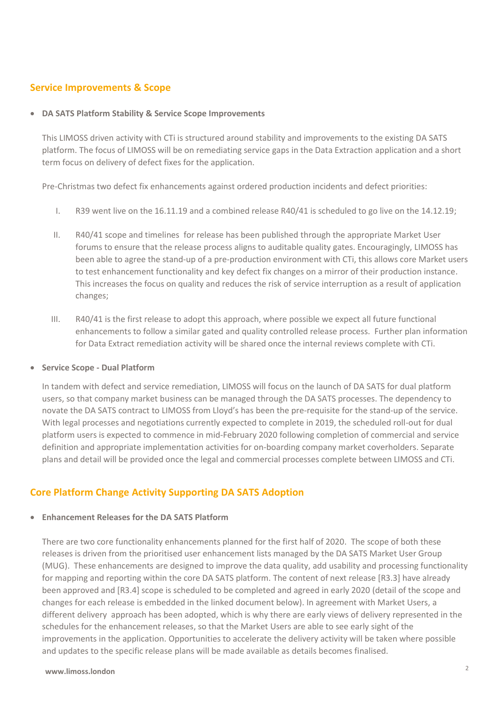## **Service Improvements & Scope**

#### • **DA SATS Platform Stability & Service Scope Improvements**

This LIMOSS driven activity with CTi is structured around stability and improvements to the existing DA SATS platform. The focus of LIMOSS will be on remediating service gaps in the Data Extraction application and a short term focus on delivery of defect fixes for the application.

Pre-Christmas two defect fix enhancements against ordered production incidents and defect priorities:

- I. R39 went live on the 16.11.19 and a combined release R40/41 is scheduled to go live on the 14.12.19;
- II. R40/41 scope and timelines for release has been published through the appropriate Market User forums to ensure that the release process aligns to auditable quality gates. Encouragingly, LIMOSS has been able to agree the stand-up of a pre-production environment with CTi, this allows core Market users to test enhancement functionality and key defect fix changes on a mirror of their production instance. This increases the focus on quality and reduces the risk of service interruption as a result of application changes;
- III. R40/41 is the first release to adopt this approach, where possible we expect all future functional enhancements to follow a similar gated and quality controlled release process. Further plan information for Data Extract remediation activity will be shared once the internal reviews complete with CTi.

#### • **Service Scope - Dual Platform**

In tandem with defect and service remediation, LIMOSS will focus on the launch of DA SATS for dual platform users, so that company market business can be managed through the DA SATS processes. The dependency to novate the DA SATS contract to LIMOSS from Lloyd's has been the pre-requisite for the stand-up of the service. With legal processes and negotiations currently expected to complete in 2019, the scheduled roll-out for dual platform users is expected to commence in mid-February 2020 following completion of commercial and service definition and appropriate implementation activities for on-boarding company market coverholders. Separate plans and detail will be provided once the legal and commercial processes complete between LIMOSS and CTi.

## **Core Platform Change Activity Supporting DA SATS Adoption**

#### • **Enhancement Releases for the DA SATS Platform**

There are two core functionality enhancements planned for the first half of 2020. The scope of both these releases is driven from the prioritised user enhancement lists managed by the DA SATS Market User Group (MUG). These enhancements are designed to improve the data quality, add usability and processing functionality for mapping and reporting within the core DA SATS platform. The content of next release [R3.3] have already been approved and [R3.4] scope is scheduled to be completed and agreed in early 2020 (detail of the scope and changes for each release is embedded in the linked document below). In agreement with Market Users, a different delivery approach has been adopted, which is why there are early views of delivery represented in the schedules for the enhancement releases, so that the Market Users are able to see early sight of the improvements in the application. Opportunities to accelerate the delivery activity will be taken where possible and updates to the specific release plans will be made available as details becomes finalised.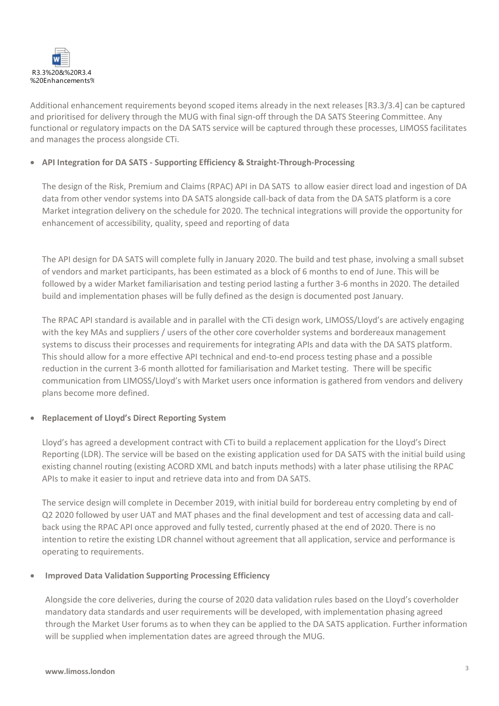

Additional enhancement requirements beyond scoped items already in the next releases [R3.3/3.4] can be captured and prioritised for delivery through the MUG with final sign-off through the DA SATS Steering Committee. Any functional or regulatory impacts on the DA SATS service will be captured through these processes, LIMOSS facilitates and manages the process alongside CTi.

### • **API Integration for DA SATS - Supporting Efficiency & Straight-Through-Processing**

The design of the Risk, Premium and Claims (RPAC) API in DA SATS to allow easier direct load and ingestion of DA data from other vendor systems into DA SATS alongside call-back of data from the DA SATS platform is a core Market integration delivery on the schedule for 2020. The technical integrations will provide the opportunity for enhancement of accessibility, quality, speed and reporting of data

The API design for DA SATS will complete fully in January 2020. The build and test phase, involving a small subset of vendors and market participants, has been estimated as a block of 6 months to end of June. This will be followed by a wider Market familiarisation and testing period lasting a further 3-6 months in 2020. The detailed build and implementation phases will be fully defined as the design is documented post January.

The RPAC API standard is available and in parallel with the CTi design work, LIMOSS/Lloyd's are actively engaging with the key MAs and suppliers / users of the other core coverholder systems and bordereaux management systems to discuss their processes and requirements for integrating APIs and data with the DA SATS platform. This should allow for a more effective API technical and end-to-end process testing phase and a possible reduction in the current 3-6 month allotted for familiarisation and Market testing. There will be specific communication from LIMOSS/Lloyd's with Market users once information is gathered from vendors and delivery plans become more defined.

#### • **Replacement of Lloyd's Direct Reporting System**

Lloyd's has agreed a development contract with CTi to build a replacement application for the Lloyd's Direct Reporting (LDR). The service will be based on the existing application used for DA SATS with the initial build using existing channel routing (existing ACORD XML and batch inputs methods) with a later phase utilising the RPAC APIs to make it easier to input and retrieve data into and from DA SATS.

The service design will complete in December 2019, with initial build for bordereau entry completing by end of Q2 2020 followed by user UAT and MAT phases and the final development and test of accessing data and callback using the RPAC API once approved and fully tested, currently phased at the end of 2020. There is no intention to retire the existing LDR channel without agreement that all application, service and performance is operating to requirements.

#### • **Improved Data Validation Supporting Processing Efficiency**

Alongside the core deliveries, during the course of 2020 data validation rules based on the Lloyd's coverholder mandatory data standards and user requirements will be developed, with implementation phasing agreed through the Market User forums as to when they can be applied to the DA SATS application. Further information will be supplied when implementation dates are agreed through the MUG.